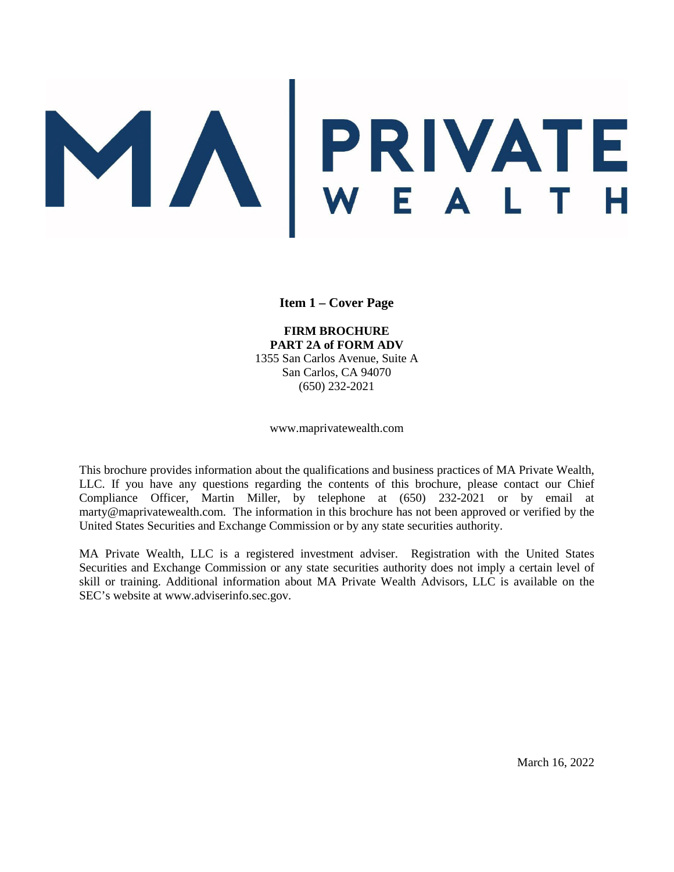# MARIVATE

**Item 1 – Cover Page** 

#### **FIRM BROCHURE PART 2A of FORM ADV**

1355 San Carlos Avenue, Suite A San Carlos, CA 94070 (650) 232-2021

www.maprivatewealth.com

<span id="page-0-0"></span>This brochure provides information about the qualifications and business practices of MA Private Wealth, LLC. If you have any questions regarding the contents of this brochure, please contact our Chief Compliance Officer, Martin Miller, by telephone at (650) 232-2021 or by email at marty@maprivatewealth.com. The information in this brochure has not been approved or verified by the United States Securities and Exchange Commission or by any state securities authority.

MA Private Wealth, LLC is a registered investment adviser. Registration with the United States Securities and Exchange Commission or any state securities authority does not imply a certain level of skill or training. Additional information about MA Private Wealth Advisors, LLC is available on the SEC's website at www.adviserinfo.sec.gov.

March 16, 2022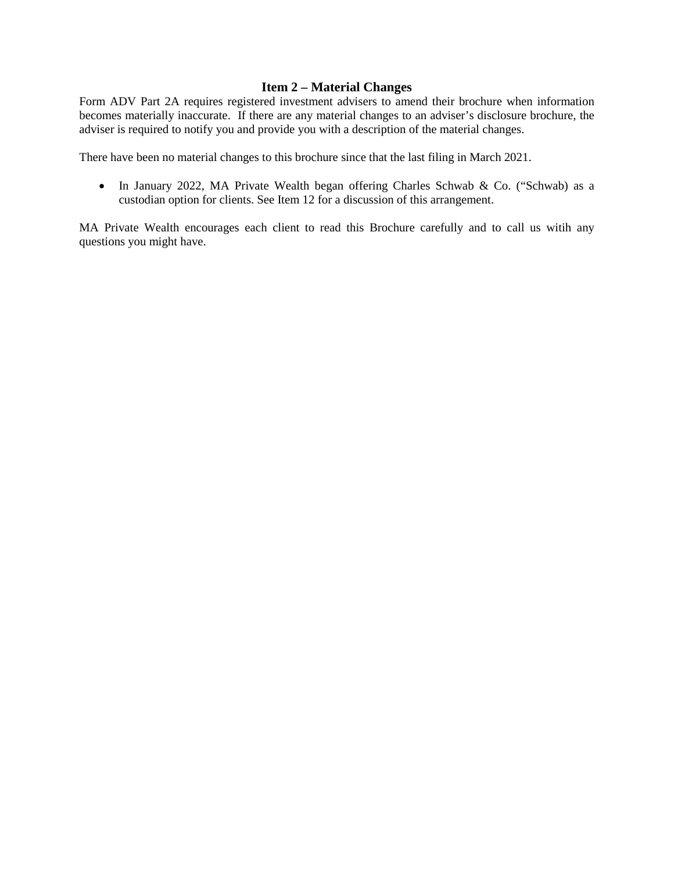# **Item 2 – Material Changes**

<span id="page-1-0"></span>Form ADV Part 2A requires registered investment advisers to amend their brochure when information becomes materially inaccurate. If there are any material changes to an adviser's disclosure brochure, the adviser is required to notify you and provide you with a description of the material changes.

There have been no material changes to this brochure since that the last filing in March 2021.

• In January 2022, MA Private Wealth began offering Charles Schwab & Co. ("Schwab) as a custodian option for clients. See Item 12 for a discussion of this arrangement.

MA Private Wealth encourages each client to read this Brochure carefully and to call us witih any questions you might have.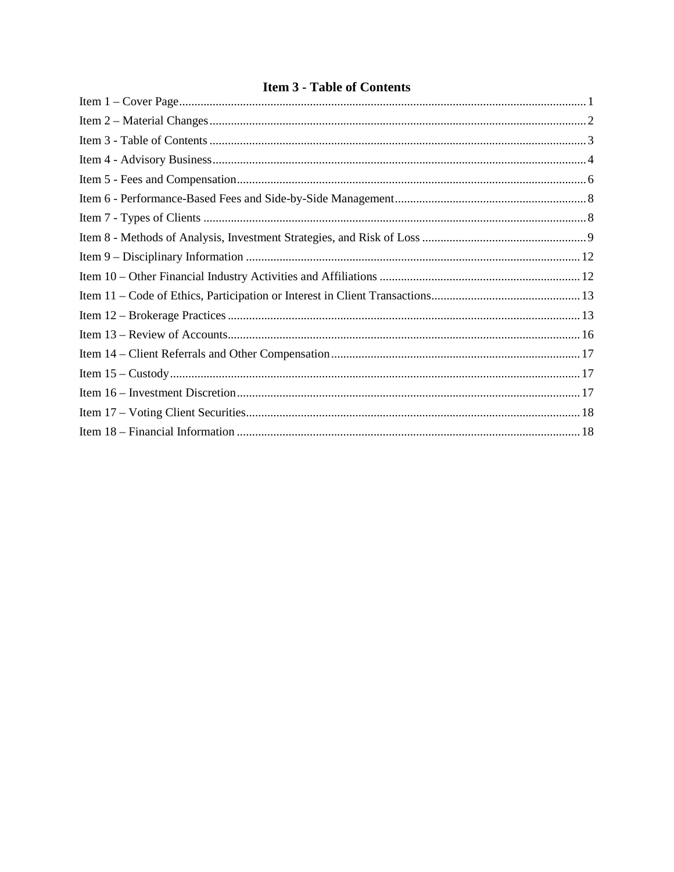# **Item 3 - Table of Contents**

<span id="page-2-0"></span>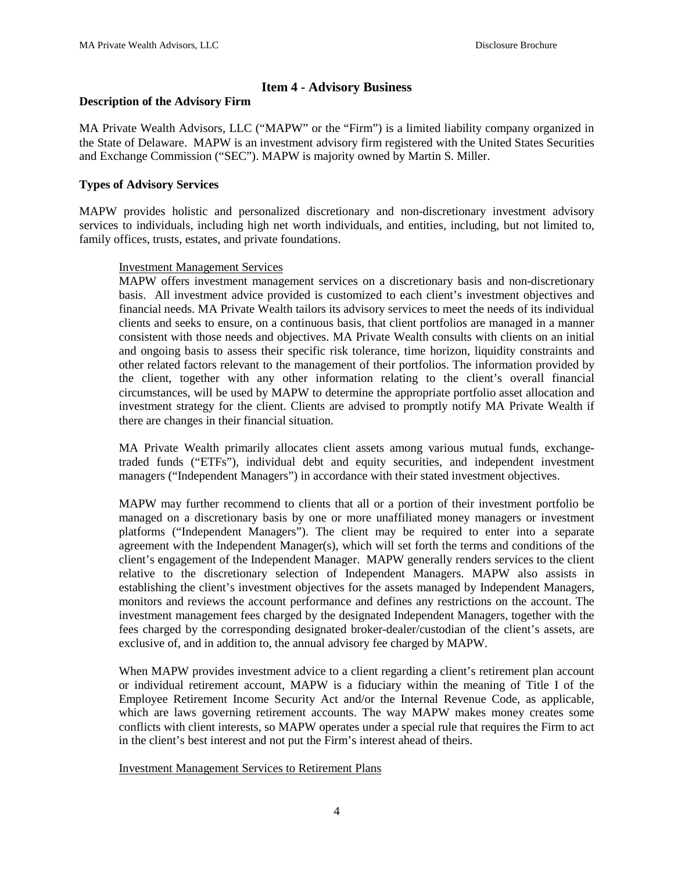# **Item 4 - Advisory Business**

#### <span id="page-3-0"></span>**Description of the Advisory Firm**

MA Private Wealth Advisors, LLC ("MAPW" or the "Firm") is a limited liability company organized in the State of Delaware. MAPW is an investment advisory firm registered with the United States Securities and Exchange Commission ("SEC"). MAPW is majority owned by Martin S. Miller.

# **Types of Advisory Services**

MAPW provides holistic and personalized discretionary and non-discretionary investment advisory services to individuals, including high net worth individuals, and entities, including, but not limited to, family offices, trusts, estates, and private foundations.

# Investment Management Services

MAPW offers investment management services on a discretionary basis and non-discretionary basis. All investment advice provided is customized to each client's investment objectives and financial needs. MA Private Wealth tailors its advisory services to meet the needs of its individual clients and seeks to ensure, on a continuous basis, that client portfolios are managed in a manner consistent with those needs and objectives. MA Private Wealth consults with clients on an initial and ongoing basis to assess their specific risk tolerance, time horizon, liquidity constraints and other related factors relevant to the management of their portfolios. The information provided by the client, together with any other information relating to the client's overall financial circumstances, will be used by MAPW to determine the appropriate portfolio asset allocation and investment strategy for the client. Clients are advised to promptly notify MA Private Wealth if there are changes in their financial situation.

MA Private Wealth primarily allocates client assets among various mutual funds, exchangetraded funds ("ETFs"), individual debt and equity securities, and independent investment managers ("Independent Managers") in accordance with their stated investment objectives.

MAPW may further recommend to clients that all or a portion of their investment portfolio be managed on a discretionary basis by one or more unaffiliated money managers or investment platforms ("Independent Managers"). The client may be required to enter into a separate agreement with the Independent Manager(s), which will set forth the terms and conditions of the client's engagement of the Independent Manager. MAPW generally renders services to the client relative to the discretionary selection of Independent Managers. MAPW also assists in establishing the client's investment objectives for the assets managed by Independent Managers, monitors and reviews the account performance and defines any restrictions on the account. The investment management fees charged by the designated Independent Managers, together with the fees charged by the corresponding designated broker-dealer/custodian of the client's assets, are exclusive of, and in addition to, the annual advisory fee charged by MAPW.

When MAPW provides investment advice to a client regarding a client's retirement plan account or individual retirement account, MAPW is a fiduciary within the meaning of Title I of the Employee Retirement Income Security Act and/or the Internal Revenue Code, as applicable, which are laws governing retirement accounts. The way MAPW makes money creates some conflicts with client interests, so MAPW operates under a special rule that requires the Firm to act in the client's best interest and not put the Firm's interest ahead of theirs.

# Investment Management Services to Retirement Plans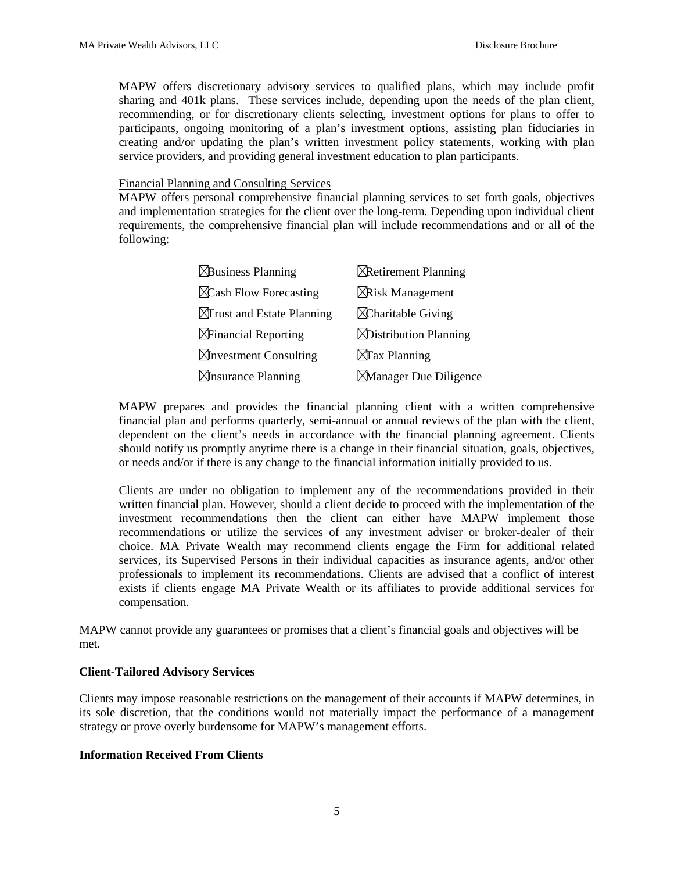MAPW offers discretionary advisory services to qualified plans, which may include profit sharing and 401k plans. These services include, depending upon the needs of the plan client, recommending, or for discretionary clients selecting, investment options for plans to offer to participants, ongoing monitoring of a plan's investment options, assisting plan fiduciaries in creating and/or updating the plan's written investment policy statements, working with plan service providers, and providing general investment education to plan participants.

Financial Planning and Consulting Services

MAPW offers personal comprehensive financial planning services to set forth goals, objectives and implementation strategies for the client over the long-term. Depending upon individual client requirements, the comprehensive financial plan will include recommendations and or all of the following:

| <b><i><u>ABusiness Planning</u></i></b> | <b>X</b> Retirement Planning   |
|-----------------------------------------|--------------------------------|
| $\chi$ Cash Flow Forecasting            | <b>XRisk Management</b>        |
| $\Delta$ Trust and Estate Planning      | $\Delta$ Charitable Giving     |
| $\Delta$ Financial Reporting            | <b>X</b> Distribution Planning |
| $\boxtimes$ hyperstment Consulting      | $\boxtimes$ Tax Planning       |
| $\boxtimes$ nsurance Planning           | <b>Manager Due Diligence</b>   |

MAPW prepares and provides the financial planning client with a written comprehensive financial plan and performs quarterly, semi-annual or annual reviews of the plan with the client, dependent on the client's needs in accordance with the financial planning agreement. Clients should notify us promptly anytime there is a change in their financial situation, goals, objectives, or needs and/or if there is any change to the financial information initially provided to us.

Clients are under no obligation to implement any of the recommendations provided in their written financial plan. However, should a client decide to proceed with the implementation of the investment recommendations then the client can either have MAPW implement those recommendations or utilize the services of any investment adviser or broker-dealer of their choice. MA Private Wealth may recommend clients engage the Firm for additional related services, its Supervised Persons in their individual capacities as insurance agents, and/or other professionals to implement its recommendations. Clients are advised that a conflict of interest exists if clients engage MA Private Wealth or its affiliates to provide additional services for compensation.

MAPW cannot provide any guarantees or promises that a client's financial goals and objectives will be met.

#### **Client-Tailored Advisory Services**

Clients may impose reasonable restrictions on the management of their accounts if MAPW determines, in its sole discretion, that the conditions would not materially impact the performance of a management strategy or prove overly burdensome for MAPW's management efforts.

#### **Information Received From Clients**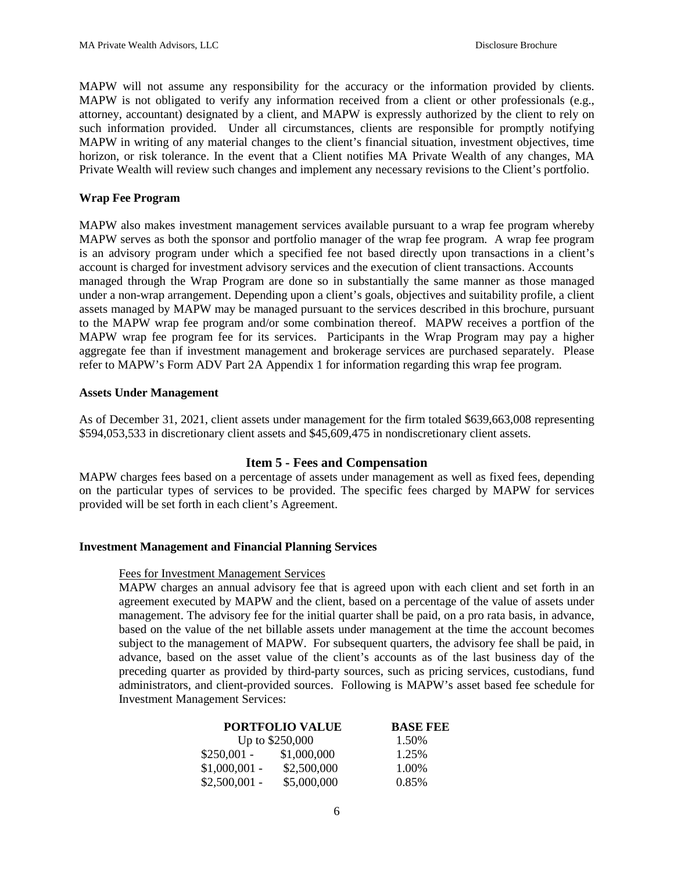MAPW will not assume any responsibility for the accuracy or the information provided by clients. MAPW is not obligated to verify any information received from a client or other professionals (e.g., attorney, accountant) designated by a client, and MAPW is expressly authorized by the client to rely on such information provided. Under all circumstances, clients are responsible for promptly notifying MAPW in writing of any material changes to the client's financial situation, investment objectives, time horizon, or risk tolerance. In the event that a Client notifies MA Private Wealth of any changes, MA Private Wealth will review such changes and implement any necessary revisions to the Client's portfolio.

# **Wrap Fee Program**

MAPW also makes investment management services available pursuant to a wrap fee program whereby MAPW serves as both the sponsor and portfolio manager of the wrap fee program. A wrap fee program is an advisory program under which a specified fee not based directly upon transactions in a client's account is charged for investment advisory services and the execution of client transactions. Accounts managed through the Wrap Program are done so in substantially the same manner as those managed under a non-wrap arrangement. Depending upon a client's goals, objectives and suitability profile, a client assets managed by MAPW may be managed pursuant to the services described in this brochure, pursuant to the MAPW wrap fee program and/or some combination thereof. MAPW receives a portfion of the MAPW wrap fee program fee for its services. Participants in the Wrap Program may pay a higher aggregate fee than if investment management and brokerage services are purchased separately. Please refer to MAPW's Form ADV Part 2A Appendix 1 for information regarding this wrap fee program.

# **Assets Under Management**

As of December 31, 2021, client assets under management for the firm totaled \$639,663,008 representing \$594,053,533 in discretionary client assets and \$45,609,475 in nondiscretionary client assets.

# **Item 5 - Fees and Compensation**

<span id="page-5-0"></span>MAPW charges fees based on a percentage of assets under management as well as fixed fees, depending on the particular types of services to be provided. The specific fees charged by MAPW for services provided will be set forth in each client's Agreement.

#### **Investment Management and Financial Planning Services**

#### Fees for Investment Management Services

MAPW charges an annual advisory fee that is agreed upon with each client and set forth in an agreement executed by MAPW and the client, based on a percentage of the value of assets under management. The advisory fee for the initial quarter shall be paid, on a pro rata basis, in advance, based on the value of the net billable assets under management at the time the account becomes subject to the management of MAPW. For subsequent quarters, the advisory fee shall be paid, in advance, based on the asset value of the client's accounts as of the last business day of the preceding quarter as provided by third-party sources, such as pricing services, custodians, fund administrators, and client-provided sources. Following is MAPW's asset based fee schedule for Investment Management Services:

|                | <b>PORTFOLIO VALUE</b> | <b>BASE FEE</b> |
|----------------|------------------------|-----------------|
|                | Up to \$250,000        | 1.50%           |
| $$250,001 -$   | \$1,000,000            | 1.25%           |
| $$1,000,001$ - | \$2,500,000            | 1.00%           |
| $$2,500,001 -$ | \$5,000,000            | 0.85%           |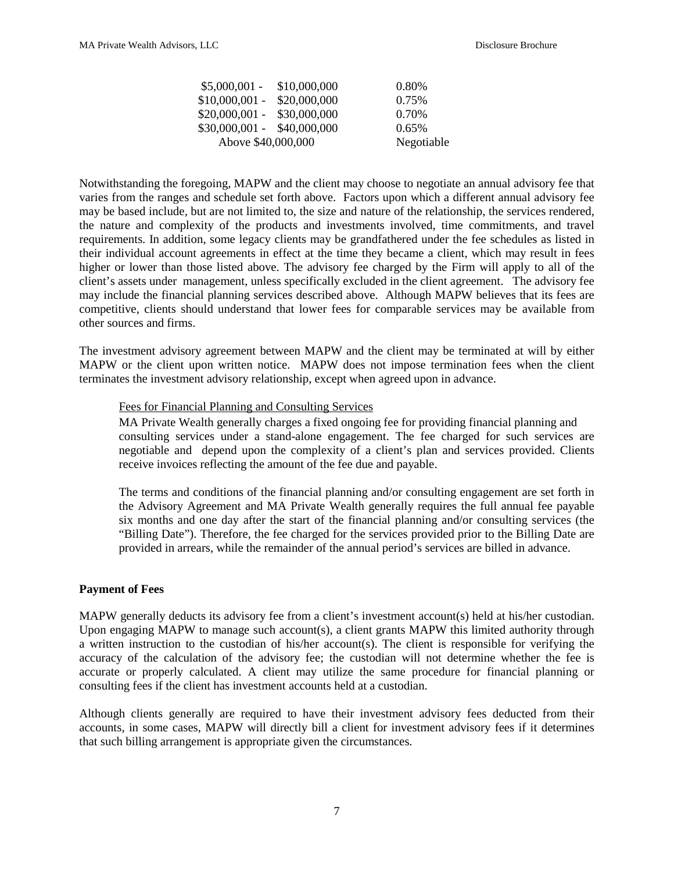| $$5,000,001 - $10,000,000$  | 0.80%      |
|-----------------------------|------------|
| $$10,000,001 - $20,000,000$ | 0.75%      |
| $$20,000,001 - $30,000,000$ | 0.70%      |
| $$30,000,001 - $40,000,000$ | $0.65\%$   |
| Above \$40,000,000          | Negotiable |

Notwithstanding the foregoing, MAPW and the client may choose to negotiate an annual advisory fee that varies from the ranges and schedule set forth above. Factors upon which a different annual advisory fee may be based include, but are not limited to, the size and nature of the relationship, the services rendered, the nature and complexity of the products and investments involved, time commitments, and travel requirements. In addition, some legacy clients may be grandfathered under the fee schedules as listed in their individual account agreements in effect at the time they became a client, which may result in fees higher or lower than those listed above. The advisory fee charged by the Firm will apply to all of the client's assets under management, unless specifically excluded in the client agreement. The advisory fee may include the financial planning services described above. Although MAPW believes that its fees are competitive, clients should understand that lower fees for comparable services may be available from other sources and firms.

The investment advisory agreement between MAPW and the client may be terminated at will by either MAPW or the client upon written notice. MAPW does not impose termination fees when the client terminates the investment advisory relationship, except when agreed upon in advance.

#### Fees for Financial Planning and Consulting Services

MA Private Wealth generally charges a fixed ongoing fee for providing financial planning and consulting services under a stand-alone engagement. The fee charged for such services are negotiable and depend upon the complexity of a client's plan and services provided. Clients receive invoices reflecting the amount of the fee due and payable.

The terms and conditions of the financial planning and/or consulting engagement are set forth in the Advisory Agreement and MA Private Wealth generally requires the full annual fee payable six months and one day after the start of the financial planning and/or consulting services (the "Billing Date"). Therefore, the fee charged for the services provided prior to the Billing Date are provided in arrears, while the remainder of the annual period's services are billed in advance.

#### **Payment of Fees**

MAPW generally deducts its advisory fee from a client's investment account(s) held at his/her custodian. Upon engaging MAPW to manage such account(s), a client grants MAPW this limited authority through a written instruction to the custodian of his/her account(s). The client is responsible for verifying the accuracy of the calculation of the advisory fee; the custodian will not determine whether the fee is accurate or properly calculated. A client may utilize the same procedure for financial planning or consulting fees if the client has investment accounts held at a custodian.

Although clients generally are required to have their investment advisory fees deducted from their accounts, in some cases, MAPW will directly bill a client for investment advisory fees if it determines that such billing arrangement is appropriate given the circumstances.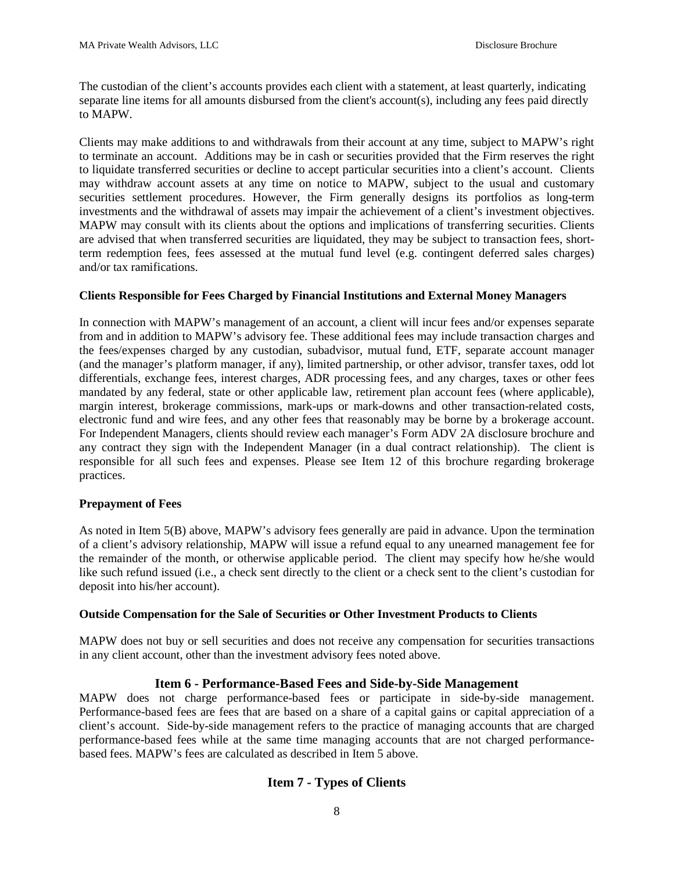The custodian of the client's accounts provides each client with a statement, at least quarterly, indicating separate line items for all amounts disbursed from the client's account(s), including any fees paid directly to MAPW.

Clients may make additions to and withdrawals from their account at any time, subject to MAPW's right to terminate an account. Additions may be in cash or securities provided that the Firm reserves the right to liquidate transferred securities or decline to accept particular securities into a client's account. Clients may withdraw account assets at any time on notice to MAPW, subject to the usual and customary securities settlement procedures. However, the Firm generally designs its portfolios as long-term investments and the withdrawal of assets may impair the achievement of a client's investment objectives. MAPW may consult with its clients about the options and implications of transferring securities. Clients are advised that when transferred securities are liquidated, they may be subject to transaction fees, shortterm redemption fees, fees assessed at the mutual fund level (e.g. contingent deferred sales charges) and/or tax ramifications.

# **Clients Responsible for Fees Charged by Financial Institutions and External Money Managers**

In connection with MAPW's management of an account, a client will incur fees and/or expenses separate from and in addition to MAPW's advisory fee. These additional fees may include transaction charges and the fees/expenses charged by any custodian, subadvisor, mutual fund, ETF, separate account manager (and the manager's platform manager, if any), limited partnership, or other advisor, transfer taxes, odd lot differentials, exchange fees, interest charges, ADR processing fees, and any charges, taxes or other fees mandated by any federal, state or other applicable law, retirement plan account fees (where applicable), margin interest, brokerage commissions, mark-ups or mark-downs and other transaction-related costs, electronic fund and wire fees, and any other fees that reasonably may be borne by a brokerage account. For Independent Managers, clients should review each manager's Form ADV 2A disclosure brochure and any contract they sign with the Independent Manager (in a dual contract relationship). The client is responsible for all such fees and expenses. Please see Item 12 of this brochure regarding brokerage practices.

# **Prepayment of Fees**

As noted in Item 5(B) above, MAPW's advisory fees generally are paid in advance. Upon the termination of a client's advisory relationship, MAPW will issue a refund equal to any unearned management fee for the remainder of the month, or otherwise applicable period. The client may specify how he/she would like such refund issued (i.e., a check sent directly to the client or a check sent to the client's custodian for deposit into his/her account).

# **Outside Compensation for the Sale of Securities or Other Investment Products to Clients**

MAPW does not buy or sell securities and does not receive any compensation for securities transactions in any client account, other than the investment advisory fees noted above.

# **Item 6 - Performance-Based Fees and Side-by-Side Management**

<span id="page-7-1"></span><span id="page-7-0"></span>MAPW does not charge performance-based fees or participate in side-by-side management. Performance-based fees are fees that are based on a share of a capital gains or capital appreciation of a client's account. Side-by-side management refers to the practice of managing accounts that are charged performance-based fees while at the same time managing accounts that are not charged performancebased fees. MAPW's fees are calculated as described in Item 5 above.

# **Item 7 - Types of Clients**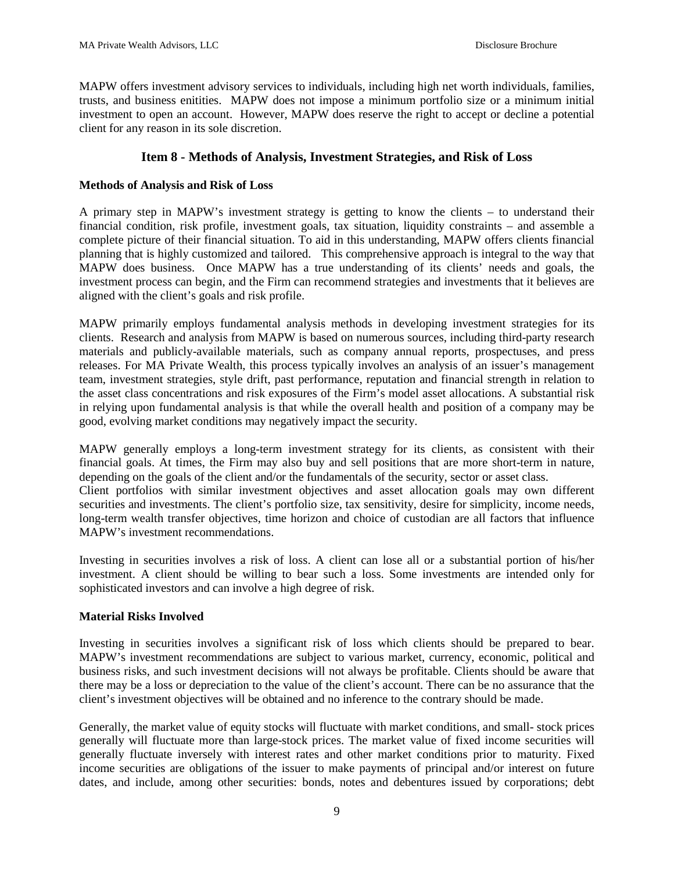MAPW offers investment advisory services to individuals, including high net worth individuals, families, trusts, and business enitities. MAPW does not impose a minimum portfolio size or a minimum initial investment to open an account. However, MAPW does reserve the right to accept or decline a potential client for any reason in its sole discretion.

# **Item 8 - Methods of Analysis, Investment Strategies, and Risk of Loss**

# <span id="page-8-0"></span>**Methods of Analysis and Risk of Loss**

A primary step in MAPW's investment strategy is getting to know the clients – to understand their financial condition, risk profile, investment goals, tax situation, liquidity constraints – and assemble a complete picture of their financial situation. To aid in this understanding, MAPW offers clients financial planning that is highly customized and tailored. This comprehensive approach is integral to the way that MAPW does business. Once MAPW has a true understanding of its clients' needs and goals, the investment process can begin, and the Firm can recommend strategies and investments that it believes are aligned with the client's goals and risk profile.

MAPW primarily employs fundamental analysis methods in developing investment strategies for its clients. Research and analysis from MAPW is based on numerous sources, including third-party research materials and publicly-available materials, such as company annual reports, prospectuses, and press releases. For MA Private Wealth, this process typically involves an analysis of an issuer's management team, investment strategies, style drift, past performance, reputation and financial strength in relation to the asset class concentrations and risk exposures of the Firm's model asset allocations. A substantial risk in relying upon fundamental analysis is that while the overall health and position of a company may be good, evolving market conditions may negatively impact the security.

MAPW generally employs a long-term investment strategy for its clients, as consistent with their financial goals. At times, the Firm may also buy and sell positions that are more short-term in nature, depending on the goals of the client and/or the fundamentals of the security, sector or asset class.

Client portfolios with similar investment objectives and asset allocation goals may own different securities and investments. The client's portfolio size, tax sensitivity, desire for simplicity, income needs, long-term wealth transfer objectives, time horizon and choice of custodian are all factors that influence MAPW's investment recommendations.

Investing in securities involves a risk of loss. A client can lose all or a substantial portion of his/her investment. A client should be willing to bear such a loss. Some investments are intended only for sophisticated investors and can involve a high degree of risk.

# **Material Risks Involved**

Investing in securities involves a significant risk of loss which clients should be prepared to bear. MAPW's investment recommendations are subject to various market, currency, economic, political and business risks, and such investment decisions will not always be profitable. Clients should be aware that there may be a loss or depreciation to the value of the client's account. There can be no assurance that the client's investment objectives will be obtained and no inference to the contrary should be made.

Generally, the market value of equity stocks will fluctuate with market conditions, and small- stock prices generally will fluctuate more than large-stock prices. The market value of fixed income securities will generally fluctuate inversely with interest rates and other market conditions prior to maturity. Fixed income securities are obligations of the issuer to make payments of principal and/or interest on future dates, and include, among other securities: bonds, notes and debentures issued by corporations; debt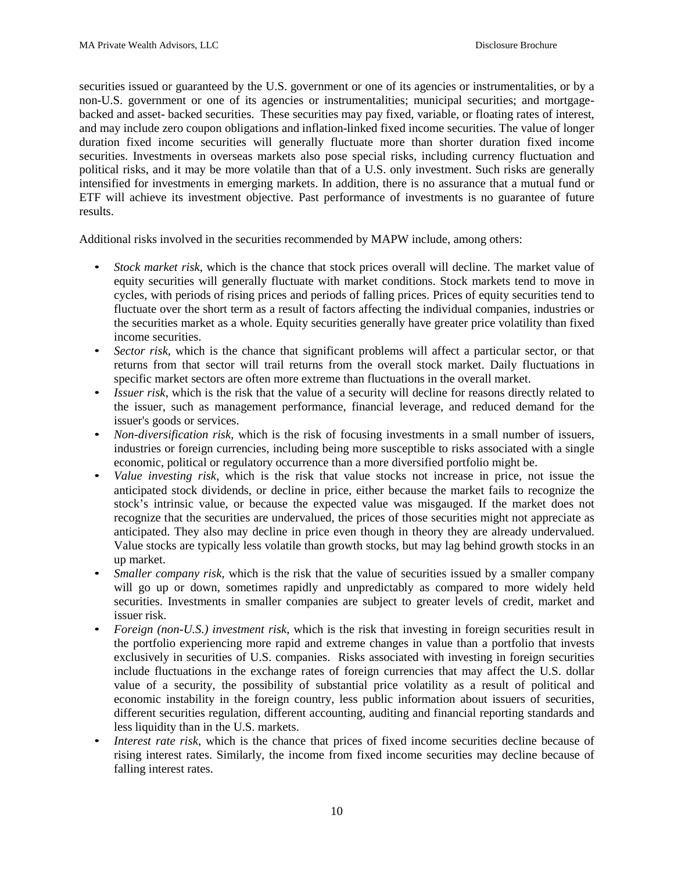securities issued or guaranteed by the U.S. government or one of its agencies or instrumentalities, or by a non-U.S. government or one of its agencies or instrumentalities; municipal securities; and mortgagebacked and asset- backed securities. These securities may pay fixed, variable, or floating rates of interest, and may include zero coupon obligations and inflation-linked fixed income securities. The value of longer duration fixed income securities will generally fluctuate more than shorter duration fixed income securities. Investments in overseas markets also pose special risks, including currency fluctuation and political risks, and it may be more volatile than that of a U.S. only investment. Such risks are generally intensified for investments in emerging markets. In addition, there is no assurance that a mutual fund or ETF will achieve its investment objective. Past performance of investments is no guarantee of future results.

Additional risks involved in the securities recommended by MAPW include, among others:

- *Stock market risk*, which is the chance that stock prices overall will decline. The market value of equity securities will generally fluctuate with market conditions. Stock markets tend to move in cycles, with periods of rising prices and periods of falling prices. Prices of equity securities tend to fluctuate over the short term as a result of factors affecting the individual companies, industries or the securities market as a whole. Equity securities generally have greater price volatility than fixed income securities.
- *Sector risk*, which is the chance that significant problems will affect a particular sector, or that returns from that sector will trail returns from the overall stock market. Daily fluctuations in specific market sectors are often more extreme than fluctuations in the overall market.
- *Issuer risk*, which is the risk that the value of a security will decline for reasons directly related to the issuer, such as management performance, financial leverage, and reduced demand for the issuer's goods or services.
- *Non-diversification risk*, which is the risk of focusing investments in a small number of issuers, industries or foreign currencies, including being more susceptible to risks associated with a single economic, political or regulatory occurrence than a more diversified portfolio might be.
- *Value investing risk*, which is the risk that value stocks not increase in price, not issue the anticipated stock dividends, or decline in price, either because the market fails to recognize the stock's intrinsic value, or because the expected value was misgauged. If the market does not recognize that the securities are undervalued, the prices of those securities might not appreciate as anticipated. They also may decline in price even though in theory they are already undervalued. Value stocks are typically less volatile than growth stocks, but may lag behind growth stocks in an up market.
- *Smaller company risk*, which is the risk that the value of securities issued by a smaller company will go up or down, sometimes rapidly and unpredictably as compared to more widely held securities. Investments in smaller companies are subject to greater levels of credit, market and issuer risk.
- *Foreign (non-U.S.) investment risk*, which is the risk that investing in foreign securities result in the portfolio experiencing more rapid and extreme changes in value than a portfolio that invests exclusively in securities of U.S. companies. Risks associated with investing in foreign securities include fluctuations in the exchange rates of foreign currencies that may affect the U.S. dollar value of a security, the possibility of substantial price volatility as a result of political and economic instability in the foreign country, less public information about issuers of securities, different securities regulation, different accounting, auditing and financial reporting standards and less liquidity than in the U.S. markets.
- *Interest rate risk*, which is the chance that prices of fixed income securities decline because of rising interest rates. Similarly, the income from fixed income securities may decline because of falling interest rates.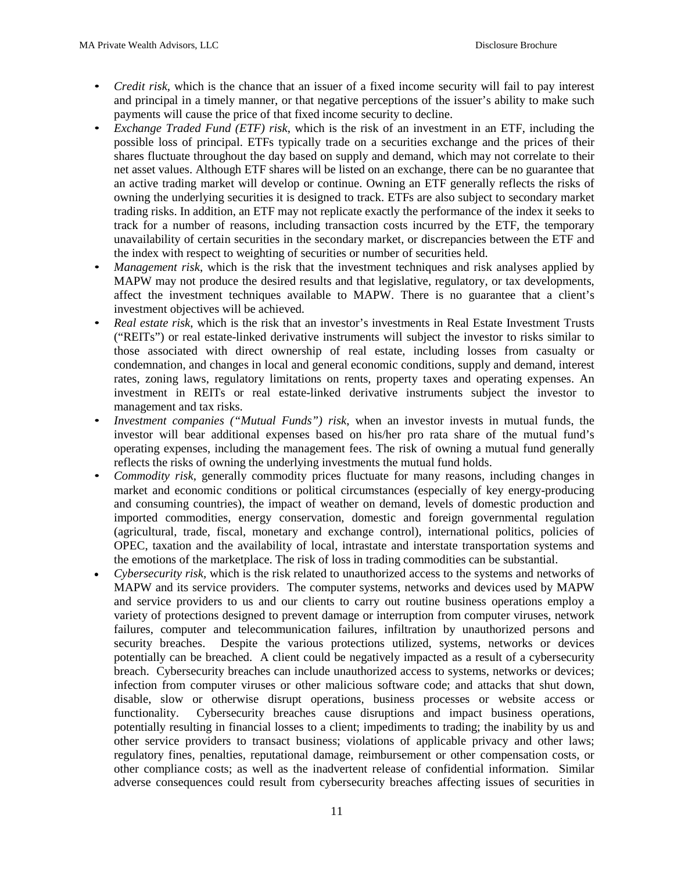- *Credit risk*, which is the chance that an issuer of a fixed income security will fail to pay interest and principal in a timely manner, or that negative perceptions of the issuer's ability to make such payments will cause the price of that fixed income security to decline.
- *Exchange Traded Fund (ETF) risk*, which is the risk of an investment in an ETF, including the possible loss of principal. ETFs typically trade on a securities exchange and the prices of their shares fluctuate throughout the day based on supply and demand, which may not correlate to their net asset values. Although ETF shares will be listed on an exchange, there can be no guarantee that an active trading market will develop or continue. Owning an ETF generally reflects the risks of owning the underlying securities it is designed to track. ETFs are also subject to secondary market trading risks. In addition, an ETF may not replicate exactly the performance of the index it seeks to track for a number of reasons, including transaction costs incurred by the ETF, the temporary unavailability of certain securities in the secondary market, or discrepancies between the ETF and the index with respect to weighting of securities or number of securities held.
- *Management risk*, which is the risk that the investment techniques and risk analyses applied by MAPW may not produce the desired results and that legislative, regulatory, or tax developments, affect the investment techniques available to MAPW. There is no guarantee that a client's investment objectives will be achieved.
- *Real estate risk*, which is the risk that an investor's investments in Real Estate Investment Trusts ("REITs") or real estate-linked derivative instruments will subject the investor to risks similar to those associated with direct ownership of real estate, including losses from casualty or condemnation, and changes in local and general economic conditions, supply and demand, interest rates, zoning laws, regulatory limitations on rents, property taxes and operating expenses. An investment in REITs or real estate-linked derivative instruments subject the investor to management and tax risks.
- *Investment companies ("Mutual Funds") risk*, when an investor invests in mutual funds, the investor will bear additional expenses based on his/her pro rata share of the mutual fund's operating expenses, including the management fees. The risk of owning a mutual fund generally reflects the risks of owning the underlying investments the mutual fund holds.
- *Commodity risk*, generally commodity prices fluctuate for many reasons, including changes in market and economic conditions or political circumstances (especially of key energy-producing and consuming countries), the impact of weather on demand, levels of domestic production and imported commodities, energy conservation, domestic and foreign governmental regulation (agricultural, trade, fiscal, monetary and exchange control), international politics, policies of OPEC, taxation and the availability of local, intrastate and interstate transportation systems and the emotions of the marketplace. The risk of loss in trading commodities can be substantial.
- *Cybersecurity risk,* which is the risk related to unauthorized access to the systems and networks of MAPW and its service providers. The computer systems, networks and devices used by MAPW and service providers to us and our clients to carry out routine business operations employ a variety of protections designed to prevent damage or interruption from computer viruses, network failures, computer and telecommunication failures, infiltration by unauthorized persons and security breaches. Despite the various protections utilized, systems, networks or devices potentially can be breached. A client could be negatively impacted as a result of a cybersecurity breach. Cybersecurity breaches can include unauthorized access to systems, networks or devices; infection from computer viruses or other malicious software code; and attacks that shut down, disable, slow or otherwise disrupt operations, business processes or website access or functionality. Cybersecurity breaches cause disruptions and impact business operations, potentially resulting in financial losses to a client; impediments to trading; the inability by us and other service providers to transact business; violations of applicable privacy and other laws; regulatory fines, penalties, reputational damage, reimbursement or other compensation costs, or other compliance costs; as well as the inadvertent release of confidential information. Similar adverse consequences could result from cybersecurity breaches affecting issues of securities in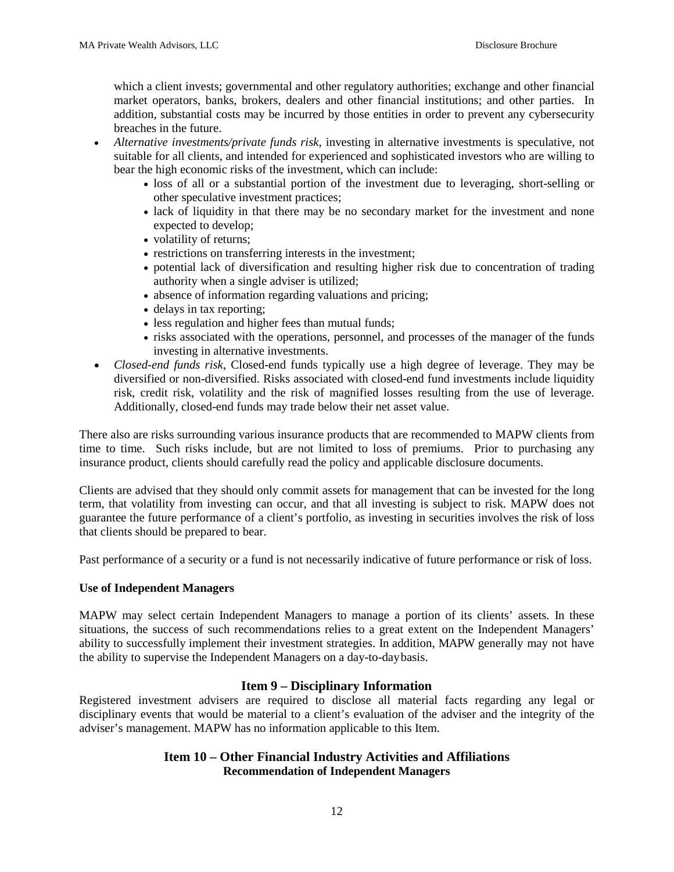which a client invests; governmental and other regulatory authorities; exchange and other financial market operators, banks, brokers, dealers and other financial institutions; and other parties. In addition, substantial costs may be incurred by those entities in order to prevent any cybersecurity breaches in the future.

- *Alternative investments/private funds risk*, investing in alternative investments is speculative, not suitable for all clients, and intended for experienced and sophisticated investors who are willing to bear the high economic risks of the investment, which can include:
	- loss of all or a substantial portion of the investment due to leveraging, short-selling or other speculative investment practices;
	- lack of liquidity in that there may be no secondary market for the investment and none expected to develop;
	- volatility of returns;
	- restrictions on transferring interests in the investment;
	- potential lack of diversification and resulting higher risk due to concentration of trading authority when a single adviser is utilized;
	- absence of information regarding valuations and pricing;
	- delays in tax reporting;
	- less regulation and higher fees than mutual funds;
	- risks associated with the operations, personnel, and processes of the manager of the funds investing in alternative investments.
- *Closed-end funds risk*, Closed-end funds typically use a high degree of leverage. They may be diversified or non-diversified. Risks associated with closed-end fund investments include liquidity risk, credit risk, volatility and the risk of magnified losses resulting from the use of leverage. Additionally, closed-end funds may trade below their net asset value.

There also are risks surrounding various insurance products that are recommended to MAPW clients from time to time. Such risks include, but are not limited to loss of premiums. Prior to purchasing any insurance product, clients should carefully read the policy and applicable disclosure documents.

Clients are advised that they should only commit assets for management that can be invested for the long term, that volatility from investing can occur, and that all investing is subject to risk. MAPW does not guarantee the future performance of a client's portfolio, as investing in securities involves the risk of loss that clients should be prepared to bear.

Past performance of a security or a fund is not necessarily indicative of future performance or risk of loss.

#### **Use of Independent Managers**

MAPW may select certain Independent Managers to manage a portion of its clients' assets. In these situations, the success of such recommendations relies to a great extent on the Independent Managers' ability to successfully implement their investment strategies. In addition, MAPW generally may not have the ability to supervise the Independent Managers on a day-to-day basis.

#### **Item 9 – Disciplinary Information**

<span id="page-11-1"></span><span id="page-11-0"></span>Registered investment advisers are required to disclose all material facts regarding any legal or disciplinary events that would be material to a client's evaluation of the adviser and the integrity of the adviser's management. MAPW has no information applicable to this Item.

# **Item 10 – Other Financial Industry Activities and Affiliations Recommendation of Independent Managers**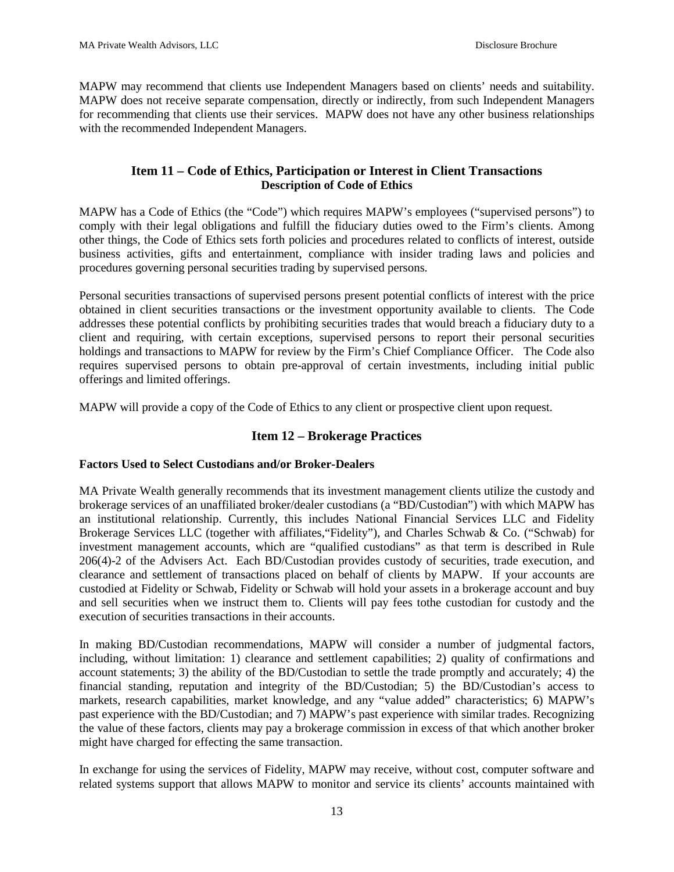MAPW may recommend that clients use Independent Managers based on clients' needs and suitability. MAPW does not receive separate compensation, directly or indirectly, from such Independent Managers for recommending that clients use their services. MAPW does not have any other business relationships with the recommended Independent Managers.

# **Item 11 – Code of Ethics, Participation or Interest in Client Transactions Description of Code of Ethics**

<span id="page-12-0"></span>MAPW has a Code of Ethics (the "Code") which requires MAPW's employees ("supervised persons") to comply with their legal obligations and fulfill the fiduciary duties owed to the Firm's clients. Among other things, the Code of Ethics sets forth policies and procedures related to conflicts of interest, outside business activities, gifts and entertainment, compliance with insider trading laws and policies and procedures governing personal securities trading by supervised persons.

Personal securities transactions of supervised persons present potential conflicts of interest with the price obtained in client securities transactions or the investment opportunity available to clients. The Code addresses these potential conflicts by prohibiting securities trades that would breach a fiduciary duty to a client and requiring, with certain exceptions, supervised persons to report their personal securities holdings and transactions to MAPW for review by the Firm's Chief Compliance Officer. The Code also requires supervised persons to obtain pre-approval of certain investments, including initial public offerings and limited offerings.

<span id="page-12-1"></span>MAPW will provide a copy of the Code of Ethics to any client or prospective client upon request.

# **Item 12 – Brokerage Practices**

# **Factors Used to Select Custodians and/or Broker-Dealers**

MA Private Wealth generally recommends that its investment management clients utilize the custody and brokerage services of an unaffiliated broker/dealer custodians (a "BD/Custodian") with which MAPW has an institutional relationship. Currently, this includes National Financial Services LLC and Fidelity Brokerage Services LLC (together with affiliates,"Fidelity"), and Charles Schwab & Co. ("Schwab) for investment management accounts, which are "qualified custodians" as that term is described in Rule 206(4)-2 of the Advisers Act. Each BD/Custodian provides custody of securities, trade execution, and clearance and settlement of transactions placed on behalf of clients by MAPW. If your accounts are custodied at Fidelity or Schwab, Fidelity or Schwab will hold your assets in a brokerage account and buy and sell securities when we instruct them to. Clients will pay fees tothe custodian for custody and the execution of securities transactions in their accounts.

In making BD/Custodian recommendations, MAPW will consider a number of judgmental factors, including, without limitation: 1) clearance and settlement capabilities; 2) quality of confirmations and account statements; 3) the ability of the BD/Custodian to settle the trade promptly and accurately; 4) the financial standing, reputation and integrity of the BD/Custodian; 5) the BD/Custodian's access to markets, research capabilities, market knowledge, and any "value added" characteristics; 6) MAPW's past experience with the BD/Custodian; and 7) MAPW's past experience with similar trades. Recognizing the value of these factors, clients may pay a brokerage commission in excess of that which another broker might have charged for effecting the same transaction.

In exchange for using the services of Fidelity, MAPW may receive, without cost, computer software and related systems support that allows MAPW to monitor and service its clients' accounts maintained with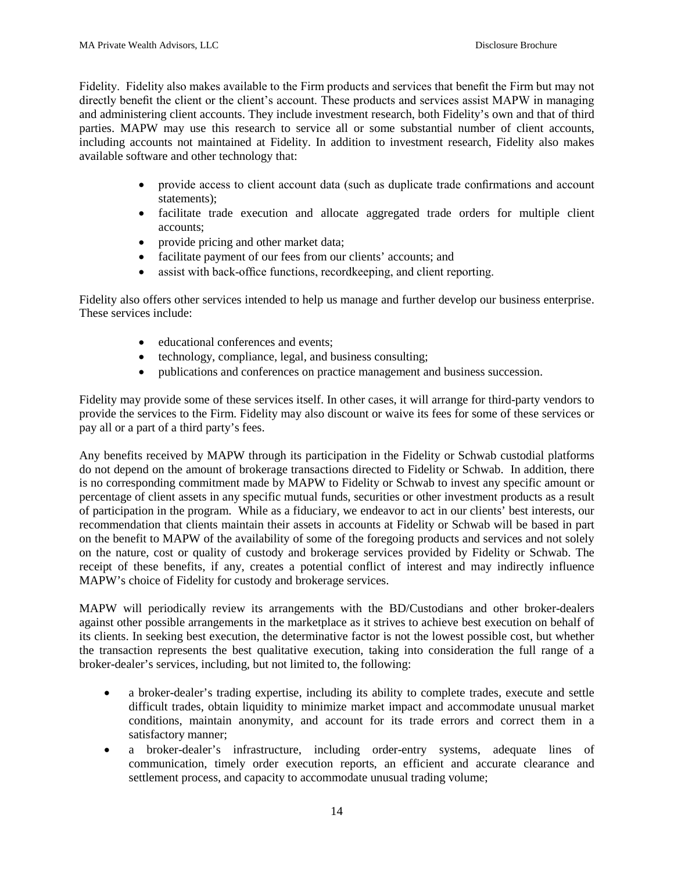Fidelity. Fidelity also makes available to the Firm products and services that benefit the Firm but may not directly benefit the client or the client's account. These products and services assist MAPW in managing and administering client accounts. They include investment research, both Fidelity's own and that of third parties. MAPW may use this research to service all or some substantial number of client accounts, including accounts not maintained at Fidelity. In addition to investment research, Fidelity also makes available software and other technology that:

- provide access to client account data (such as duplicate trade confirmations and account statements);
- facilitate trade execution and allocate aggregated trade orders for multiple client accounts;
- provide pricing and other market data;
- facilitate payment of our fees from our clients' accounts; and
- assist with back-office functions, recordkeeping, and client reporting.

Fidelity also offers other services intended to help us manage and further develop our business enterprise. These services include:

- educational conferences and events:
- technology, compliance, legal, and business consulting;
- publications and conferences on practice management and business succession.

Fidelity may provide some of these services itself. In other cases, it will arrange for third-party vendors to provide the services to the Firm. Fidelity may also discount or waive its fees for some of these services or pay all or a part of a third party's fees.

Any benefits received by MAPW through its participation in the Fidelity or Schwab custodial platforms do not depend on the amount of brokerage transactions directed to Fidelity or Schwab. In addition, there is no corresponding commitment made by MAPW to Fidelity or Schwab to invest any specific amount or percentage of client assets in any specific mutual funds, securities or other investment products as a result of participation in the program. While as a fiduciary, we endeavor to act in our clients' best interests, our recommendation that clients maintain their assets in accounts at Fidelity or Schwab will be based in part on the benefit to MAPW of the availability of some of the foregoing products and services and not solely on the nature, cost or quality of custody and brokerage services provided by Fidelity or Schwab. The receipt of these benefits, if any, creates a potential conflict of interest and may indirectly influence MAPW's choice of Fidelity for custody and brokerage services.

MAPW will periodically review its arrangements with the BD/Custodians and other broker-dealers against other possible arrangements in the marketplace as it strives to achieve best execution on behalf of its clients. In seeking best execution, the determinative factor is not the lowest possible cost, but whether the transaction represents the best qualitative execution, taking into consideration the full range of a broker-dealer's services, including, but not limited to, the following:

- a broker-dealer's trading expertise, including its ability to complete trades, execute and settle difficult trades, obtain liquidity to minimize market impact and accommodate unusual market conditions, maintain anonymity, and account for its trade errors and correct them in a satisfactory manner;
- a broker-dealer's infrastructure, including order-entry systems, adequate lines of communication, timely order execution reports, an efficient and accurate clearance and settlement process, and capacity to accommodate unusual trading volume;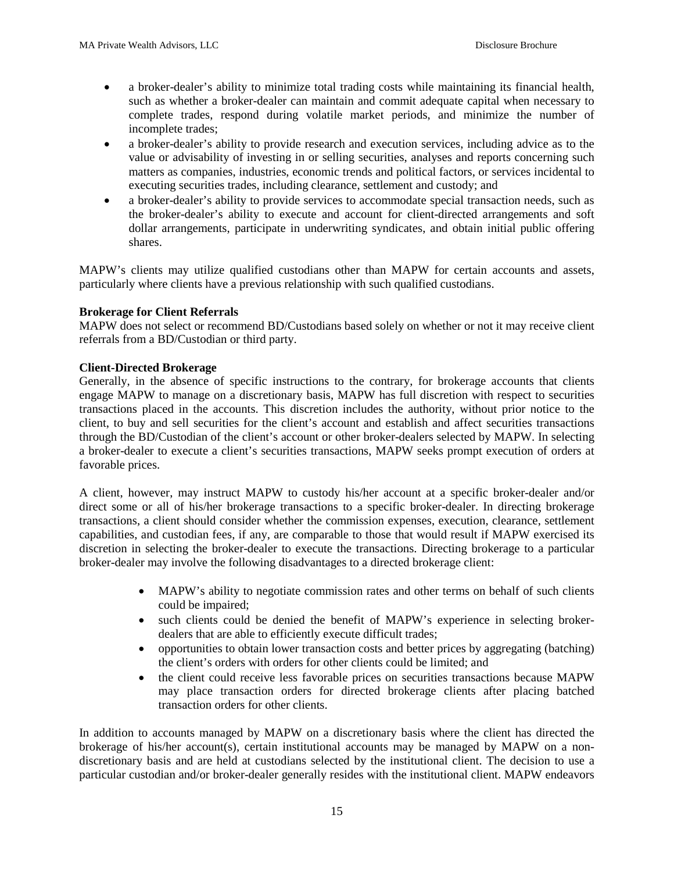- a broker-dealer's ability to minimize total trading costs while maintaining its financial health, such as whether a broker-dealer can maintain and commit adequate capital when necessary to complete trades, respond during volatile market periods, and minimize the number of incomplete trades;
- a broker-dealer's ability to provide research and execution services, including advice as to the value or advisability of investing in or selling securities, analyses and reports concerning such matters as companies, industries, economic trends and political factors, or services incidental to executing securities trades, including clearance, settlement and custody; and
- a broker-dealer's ability to provide services to accommodate special transaction needs, such as the broker-dealer's ability to execute and account for client-directed arrangements and soft dollar arrangements, participate in underwriting syndicates, and obtain initial public offering shares.

MAPW's clients may utilize qualified custodians other than MAPW for certain accounts and assets, particularly where clients have a previous relationship with such qualified custodians.

#### **Brokerage for Client Referrals**

MAPW does not select or recommend BD/Custodians based solely on whether or not it may receive client referrals from a BD/Custodian or third party.

#### **Client-Directed Brokerage**

Generally, in the absence of specific instructions to the contrary, for brokerage accounts that clients engage MAPW to manage on a discretionary basis, MAPW has full discretion with respect to securities transactions placed in the accounts. This discretion includes the authority, without prior notice to the client, to buy and sell securities for the client's account and establish and affect securities transactions through the BD/Custodian of the client's account or other broker-dealers selected by MAPW. In selecting a broker-dealer to execute a client's securities transactions, MAPW seeks prompt execution of orders at favorable prices.

A client, however, may instruct MAPW to custody his/her account at a specific broker-dealer and/or direct some or all of his/her brokerage transactions to a specific broker-dealer. In directing brokerage transactions, a client should consider whether the commission expenses, execution, clearance, settlement capabilities, and custodian fees, if any, are comparable to those that would result if MAPW exercised its discretion in selecting the broker-dealer to execute the transactions. Directing brokerage to a particular broker-dealer may involve the following disadvantages to a directed brokerage client:

- MAPW's ability to negotiate commission rates and other terms on behalf of such clients could be impaired;
- such clients could be denied the benefit of MAPW's experience in selecting brokerdealers that are able to efficiently execute difficult trades;
- opportunities to obtain lower transaction costs and better prices by aggregating (batching) the client's orders with orders for other clients could be limited; and
- the client could receive less favorable prices on securities transactions because MAPW may place transaction orders for directed brokerage clients after placing batched transaction orders for other clients.

In addition to accounts managed by MAPW on a discretionary basis where the client has directed the brokerage of his/her account(s), certain institutional accounts may be managed by MAPW on a nondiscretionary basis and are held at custodians selected by the institutional client. The decision to use a particular custodian and/or broker-dealer generally resides with the institutional client. MAPW endeavors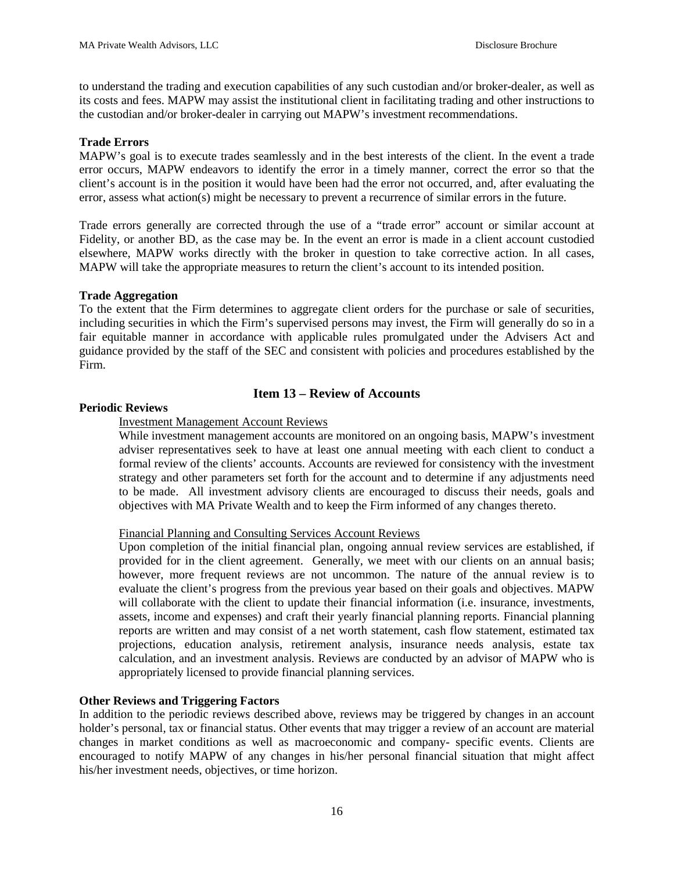to understand the trading and execution capabilities of any such custodian and/or broker-dealer, as well as its costs and fees. MAPW may assist the institutional client in facilitating trading and other instructions to the custodian and/or broker-dealer in carrying out MAPW's investment recommendations.

#### **Trade Errors**

MAPW's goal is to execute trades seamlessly and in the best interests of the client. In the event a trade error occurs, MAPW endeavors to identify the error in a timely manner, correct the error so that the client's account is in the position it would have been had the error not occurred, and, after evaluating the error, assess what action(s) might be necessary to prevent a recurrence of similar errors in the future.

Trade errors generally are corrected through the use of a "trade error" account or similar account at Fidelity, or another BD, as the case may be. In the event an error is made in a client account custodied elsewhere, MAPW works directly with the broker in question to take corrective action. In all cases, MAPW will take the appropriate measures to return the client's account to its intended position.

#### **Trade Aggregation**

To the extent that the Firm determines to aggregate client orders for the purchase or sale of securities, including securities in which the Firm's supervised persons may invest, the Firm will generally do so in a fair equitable manner in accordance with applicable rules promulgated under the Advisers Act and guidance provided by the staff of the SEC and consistent with policies and procedures established by the Firm.

# **Item 13 – Review of Accounts**

# <span id="page-15-0"></span>**Periodic Reviews**

# Investment Management Account Reviews

While investment management accounts are monitored on an ongoing basis, MAPW's investment adviser representatives seek to have at least one annual meeting with each client to conduct a formal review of the clients' accounts. Accounts are reviewed for consistency with the investment strategy and other parameters set forth for the account and to determine if any adjustments need to be made. All investment advisory clients are encouraged to discuss their needs, goals and objectives with MA Private Wealth and to keep the Firm informed of any changes thereto.

#### Financial Planning and Consulting Services Account Reviews

Upon completion of the initial financial plan, ongoing annual review services are established, if provided for in the client agreement. Generally, we meet with our clients on an annual basis; however, more frequent reviews are not uncommon. The nature of the annual review is to evaluate the client's progress from the previous year based on their goals and objectives. MAPW will collaborate with the client to update their financial information (i.e. insurance, investments, assets, income and expenses) and craft their yearly financial planning reports. Financial planning reports are written and may consist of a net worth statement, cash flow statement, estimated tax projections, education analysis, retirement analysis, insurance needs analysis, estate tax calculation, and an investment analysis. Reviews are conducted by an advisor of MAPW who is appropriately licensed to provide financial planning services.

# **Other Reviews and Triggering Factors**

In addition to the periodic reviews described above, reviews may be triggered by changes in an account holder's personal, tax or financial status. Other events that may trigger a review of an account are material changes in market conditions as well as macroeconomic and company- specific events. Clients are encouraged to notify MAPW of any changes in his/her personal financial situation that might affect his/her investment needs, objectives, or time horizon.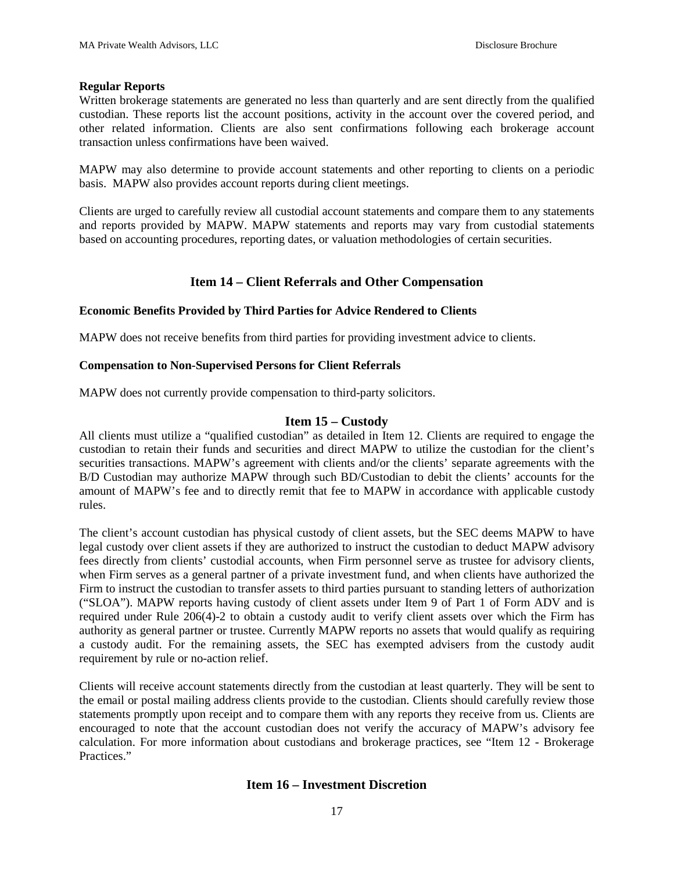#### **Regular Reports**

Written brokerage statements are generated no less than quarterly and are sent directly from the qualified custodian. These reports list the account positions, activity in the account over the covered period, and other related information. Clients are also sent confirmations following each brokerage account transaction unless confirmations have been waived.

MAPW may also determine to provide account statements and other reporting to clients on a periodic basis. MAPW also provides account reports during client meetings.

Clients are urged to carefully review all custodial account statements and compare them to any statements and reports provided by MAPW. MAPW statements and reports may vary from custodial statements based on accounting procedures, reporting dates, or valuation methodologies of certain securities.

# **Item 14 – Client Referrals and Other Compensation**

#### <span id="page-16-0"></span>**Economic Benefits Provided by Third Parties for Advice Rendered to Clients**

MAPW does not receive benefits from third parties for providing investment advice to clients.

#### **Compensation to Non-Supervised Persons for Client Referrals**

MAPW does not currently provide compensation to third-party solicitors.

#### **Item 15 – Custody**

<span id="page-16-1"></span>All clients must utilize a "qualified custodian" as detailed in Item 12. Clients are required to engage the custodian to retain their funds and securities and direct MAPW to utilize the custodian for the client's securities transactions. MAPW's agreement with clients and/or the clients' separate agreements with the B/D Custodian may authorize MAPW through such BD/Custodian to debit the clients' accounts for the amount of MAPW's fee and to directly remit that fee to MAPW in accordance with applicable custody rules.

The client's account custodian has physical custody of client assets, but the SEC deems MAPW to have legal custody over client assets if they are authorized to instruct the custodian to deduct MAPW advisory fees directly from clients' custodial accounts, when Firm personnel serve as trustee for advisory clients, when Firm serves as a general partner of a private investment fund, and when clients have authorized the Firm to instruct the custodian to transfer assets to third parties pursuant to standing letters of authorization ("SLOA"). MAPW reports having custody of client assets under Item 9 of Part 1 of Form ADV and is required under Rule 206(4)-2 to obtain a custody audit to verify client assets over which the Firm has authority as general partner or trustee. Currently MAPW reports no assets that would qualify as requiring a custody audit. For the remaining assets, the SEC has exempted advisers from the custody audit requirement by rule or no-action relief.

<span id="page-16-2"></span>Clients will receive account statements directly from the custodian at least quarterly. They will be sent to the email or postal mailing address clients provide to the custodian. Clients should carefully review those statements promptly upon receipt and to compare them with any reports they receive from us. Clients are encouraged to note that the account custodian does not verify the accuracy of MAPW's advisory fee calculation. For more information about custodians and brokerage practices, see "Item 12 - Brokerage Practices."

# **Item 16 – Investment Discretion**